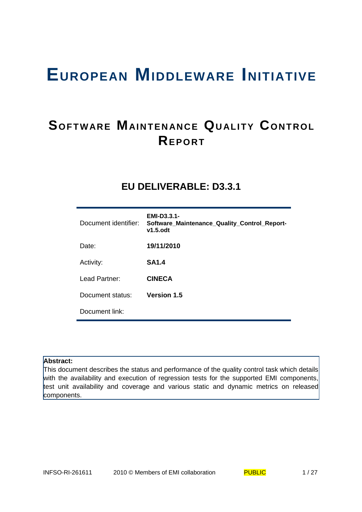# **EUROPEAN MIDDLEWARE INITIATIVE**

# **SOFTWARE MAINTENANCE QUALITY CONTROL REP O RT**

# **EU DELIVERABLE: D3.3.1**

| Document identifier: | EMI-D3.3.1-<br>Software_Maintenance_Quality_Control_Report-<br>$v1.5.$ odt |
|----------------------|----------------------------------------------------------------------------|
| Date:                | 19/11/2010                                                                 |
| Activity:            | <b>SA1.4</b>                                                               |
| Lead Partner:        | <b>CINECA</b>                                                              |
| Document status:     | <b>Version 1.5</b>                                                         |
| Document link:       |                                                                            |

## **Abstract:**

This document describes the status and performance of the quality control task which details with the availability and execution of regression tests for the supported EMI components, test unit availability and coverage and various static and dynamic metrics on released components.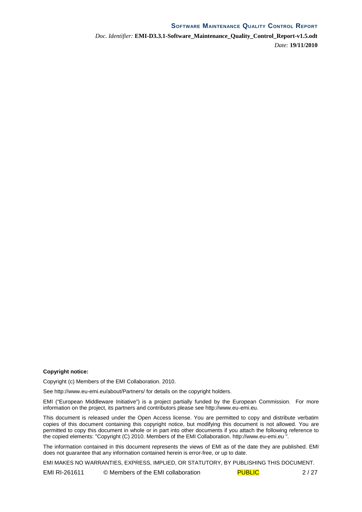*Doc. Identifier:* **EMI-D3.3.1-Software\_Maintenance\_Quality\_Control\_Report-v1.5.odt** *Date:* **19/11/2010**

#### **Copyright notice:**

Copyright (c) Members of the EMI Collaboration. 2010.

See http://www.eu-emi.eu/about/Partners/ for details on the copyright holders.

EMI ("European Middleware Initiative") is a project partially funded by the European Commission. For more information on the project, its partners and contributors please see http://www.eu-emi.eu.

This document is released under the Open Access license. You are permitted to copy and distribute verbatim copies of this document containing this copyright notice, but modifying this document is not allowed. You are permitted to copy this document in whole or in part into other documents if you attach the following reference to the copied elements: "Copyright (C) 2010. Members of the EMI Collaboration. http://www.eu-emi.eu ".

The information contained in this document represents the views of EMI as of the date they are published. EMI does not guarantee that any information contained herein is error-free, or up to date.

EMI MAKES NO WARRANTIES, EXPRESS, IMPLIED, OR STATUTORY, BY PUBLISHING THIS DOCUMENT.

EMI RI-261611 © Members of the EMI collaboration PUBLIC 2/27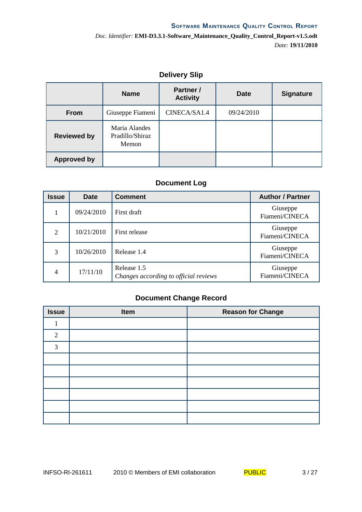# **Delivery Slip**

|                    | <b>Name</b>                               | <b>Partner /</b><br><b>Activity</b> | Date       | <b>Signature</b> |
|--------------------|-------------------------------------------|-------------------------------------|------------|------------------|
| From               | Giuseppe Fiameni                          | CINECA/SA1.4                        | 09/24/2010 |                  |
| <b>Reviewed by</b> | Maria Alandes<br>Pradillo/Shiraz<br>Memon |                                     |            |                  |
| <b>Approved by</b> |                                           |                                     |            |                  |

# **Document Log**

| Issue          | Date       | <b>Comment</b>                                       | <b>Author / Partner</b>    |
|----------------|------------|------------------------------------------------------|----------------------------|
| 1              | 09/24/2010 | First draft                                          | Giuseppe<br>Fiameni/CINECA |
| 2              | 10/21/2010 | First release                                        | Giuseppe<br>Fiameni/CINECA |
| 3              | 10/26/2010 | Release 1.4                                          | Giuseppe<br>Fiameni/CINECA |
| $\overline{4}$ | 17/11/10   | Release 1.5<br>Changes according to official reviews | Giuseppe<br>Fiameni/CINECA |

# **Document Change Record**

| <b>Issue</b>   | Item | <b>Reason for Change</b> |
|----------------|------|--------------------------|
| 1              |      |                          |
| $\overline{2}$ |      |                          |
| 3              |      |                          |
|                |      |                          |
|                |      |                          |
|                |      |                          |
|                |      |                          |
|                |      |                          |
|                |      |                          |

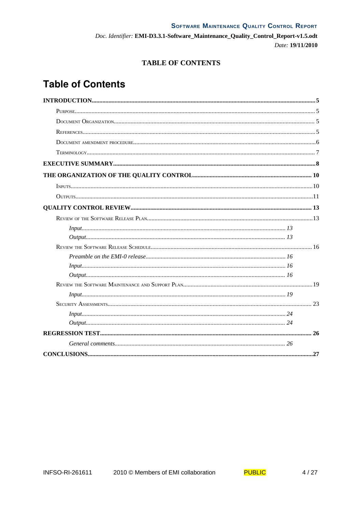# **TABLE OF CONTENTS**

# **Table of Contents**

| Input 13 |  |
|----------|--|
|          |  |
|          |  |
|          |  |
|          |  |
|          |  |
|          |  |
|          |  |
|          |  |
| Input 24 |  |
|          |  |
|          |  |
|          |  |
|          |  |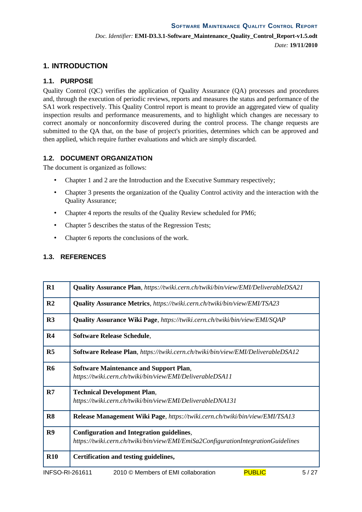# **1. INTRODUCTION**

## **1.1. PURPOSE**

Quality Control (QC) verifies the application of Quality Assurance (QA) processes and procedures and, through the execution of periodic reviews, reports and measures the status and performance of the SA1 work respectively. This Quality Control report is meant to provide an aggregated view of quality inspection results and performance measurements, and to highlight which changes are necessary to correct anomaly or nonconformity discovered during the control process. The change requests are submitted to the OA that, on the base of project's priorities, determines which can be approved and then applied, which require further evaluations and which are simply discarded.

## **1.2. DOCUMENT ORGANIZATION**

The document is organized as follows:

- Chapter 1 and 2 are the Introduction and the Executive Summary respectively;
- Chapter 3 presents the organization of the Quality Control activity and the interaction with the Quality Assurance;
- Chapter 4 reports the results of the Quality Review scheduled for PM6;
- Chapter 5 describes the status of the Regression Tests;
- Chapter 6 reports the conclusions of the work.

## **1.3. REFERENCES**

| $R1$            | <b>Quality Assurance Plan, https://twiki.cern.ch/twiki/bin/view/EMI/DeliverableDSA21</b>                                              |
|-----------------|---------------------------------------------------------------------------------------------------------------------------------------|
| R <sub>2</sub>  | <b>Quality Assurance Metrics</b> , https://twiki.cern.ch/twiki/bin/view/EMI/TSA23                                                     |
| R3              | <b>Quality Assurance Wiki Page, https://twiki.cern.ch/twiki/bin/view/EMI/SQAP</b>                                                     |
| R <sub>4</sub>  | <b>Software Release Schedule,</b>                                                                                                     |
| R <sub>5</sub>  | <b>Software Release Plan, https://twiki.cern.ch/twiki/bin/view/EMI/DeliverableDSA12</b>                                               |
| R <sub>6</sub>  | <b>Software Maintenance and Support Plan,</b><br>https://twiki.cern.ch/twiki/bin/view/EMI/DeliverableDSA11                            |
| R7              | <b>Technical Development Plan,</b><br>https://twiki.cern.ch/twiki/bin/view/EMI/DeliverableDNA131                                      |
| R <sub>8</sub>  | <b>Release Management Wiki Page, https://twiki.cern.ch/twiki/bin/view/EMI/TSA13</b>                                                   |
| R9              | <b>Configuration and Integration guidelines,</b><br>https://twiki.cern.ch/twiki/bin/view/EMI/EmiSa2ConfigurationIntegrationGuidelines |
| <b>R10</b>      | Certification and testing guidelines,                                                                                                 |
| INFSO-RI-261611 | <b>PUBLIC</b><br>2010 © Members of EMI collaboration<br>5/27                                                                          |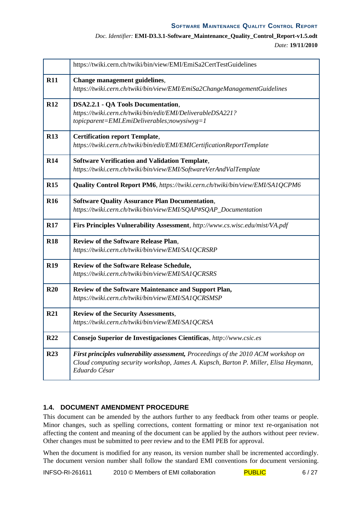## *Doc. Identifier:* **EMI-D3.3.1-Software\_Maintenance\_Quality\_Control\_Report-v1.5.odt** *Date:* **19/11/2010**

|                 | https://twiki.cern.ch/twiki/bin/view/EMI/EmiSa2CertTestGuidelines                                                                                                                           |
|-----------------|---------------------------------------------------------------------------------------------------------------------------------------------------------------------------------------------|
| <b>R11</b>      | Change management guidelines,<br>https://twiki.cern.ch/twiki/bin/view/EMI/EmiSa2ChangeManagementGuidelines                                                                                  |
| <b>R12</b>      | <b>DSA2.2.1 - QA Tools Documentation,</b><br>https://twiki.cern.ch/twiki/bin/edit/EMI/DeliverableDSA221?<br>$to picparent=EMI. EmiDeliverables; nowysiwyg=1$                                |
| <b>R13</b>      | <b>Certification report Template,</b><br>https://twiki.cern.ch/twiki/bin/edit/EMI/EMICertificationReportTemplate                                                                            |
| <b>R14</b>      | <b>Software Verification and Validation Template,</b><br>https://twiki.cern.ch/twiki/bin/view/EMI/SoftwareVerAndValTemplate                                                                 |
| R15             | <b>Quality Control Report PM6</b> , https://twiki.cern.ch/twiki/bin/view/EMI/SA1QCPM6                                                                                                       |
| <b>R16</b>      | <b>Software Quality Assurance Plan Documentation,</b><br>https://twiki.cern.ch/twiki/bin/view/EMI/SOAP#SOAP_Documentation                                                                   |
| <b>R17</b>      | Firs Principles Vulnerability Assessment, http://www.cs.wisc.edu/mist/VA.pdf                                                                                                                |
| <b>R18</b>      | <b>Review of the Software Release Plan,</b><br>https://twiki.cern.ch/twiki/bin/view/EMI/SA1QCRSRP                                                                                           |
| <b>R19</b>      | <b>Review of the Software Release Schedule,</b><br>https://twiki.cern.ch/twiki/bin/view/EMI/SA1QCRSRS                                                                                       |
| R20             | Review of the Software Maintenance and Support Plan,<br>https://twiki.cern.ch/twiki/bin/view/EMI/SA1QCRSMSP                                                                                 |
| <b>R21</b>      | <b>Review of the Security Assessments,</b><br>https://twiki.cern.ch/twiki/bin/view/EMI/SA1QCRSA                                                                                             |
| R <sub>22</sub> | Consejo Superior de Investigaciones Cientificas, http://www.csic.es                                                                                                                         |
| <b>R23</b>      | First principles vulnerability assessment, Proceedings of the 2010 ACM workshop on<br>Cloud computing security workshop, James A. Kupsch, Barton P. Miller, Elisa Heymann,<br>Eduardo César |

# **1.4. DOCUMENT AMENDMENT PROCEDURE**

This document can be amended by the authors further to any feedback from other teams or people. Minor changes, such as spelling corrections, content formatting or minor text re-organisation not affecting the content and meaning of the document can be applied by the authors without peer review. Other changes must be submitted to peer review and to the EMI PEB for approval.

When the document is modified for any reason, its version number shall be incremented accordingly. The document version number shall follow the standard EMI conventions for document versioning.

INFSO-RI-261611 2010 © Members of EMI collaboration  $PUBLIC$  6/27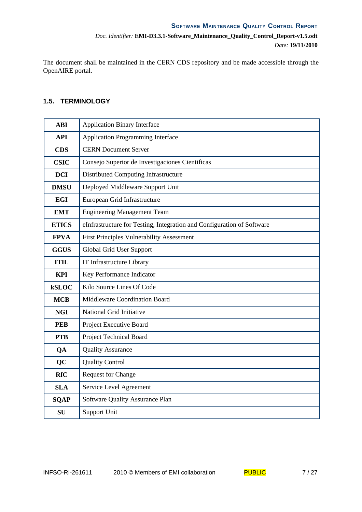The document shall be maintained in the CERN CDS repository and be made accessible through the OpenAIRE portal.

## **1.5. TERMINOLOGY**

| <b>ABI</b>   | <b>Application Binary Interface</b>                                    |
|--------------|------------------------------------------------------------------------|
| <b>API</b>   | <b>Application Programming Interface</b>                               |
| <b>CDS</b>   | <b>CERN Document Server</b>                                            |
| <b>CSIC</b>  | Consejo Superior de Investigaciones Científicas                        |
| <b>DCI</b>   | Distributed Computing Infrastructure                                   |
| <b>DMSU</b>  | Deployed Middleware Support Unit                                       |
| <b>EGI</b>   | European Grid Infrastructure                                           |
| <b>EMT</b>   | <b>Engineering Management Team</b>                                     |
| <b>ETICS</b> | eInfrastructure for Testing, Integration and Configuration of Software |
| <b>FPVA</b>  | <b>First Principles Vulnerability Assessment</b>                       |
| <b>GGUS</b>  | Global Grid User Support                                               |
| <b>ITIL</b>  | IT Infrastructure Library                                              |
| <b>KPI</b>   | Key Performance Indicator                                              |
| <b>kSLOC</b> | Kilo Source Lines Of Code                                              |
| <b>MCB</b>   | Middleware Coordination Board                                          |
| <b>NGI</b>   | National Grid Initiative                                               |
| <b>PEB</b>   | Project Executive Board                                                |
| <b>PTB</b>   | Project Technical Board                                                |
| QA           | <b>Quality Assurance</b>                                               |
| QC           | <b>Quality Control</b>                                                 |
| <b>RfC</b>   | Request for Change                                                     |
| <b>SLA</b>   | Service Level Agreement                                                |
| <b>SQAP</b>  | Software Quality Assurance Plan                                        |
| <b>SU</b>    | <b>Support Unit</b>                                                    |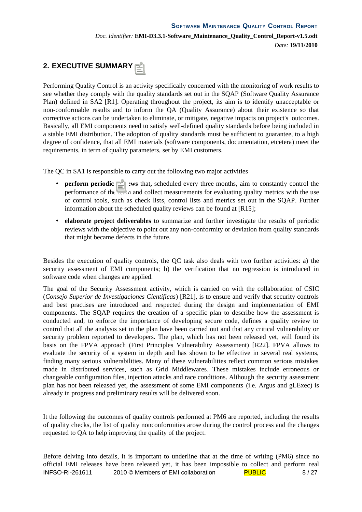# **2. EXECUTIVE SUMMARY**

Performing Quality Control is an activity specifically concerned with the monitoring of work results to see whether they comply with the quality standards set out in the SQAP (Software Quality Assurance Plan) defined in SA2 [R1]. Operating throughout the project, its aim is to identify unacceptable or non-conformable results and to inform the QA (Quality Assurance) about their existence so that corrective actions can be undertaken to eliminate, or mitigate, negative impacts on project's outcomes. Basically, all EMI components need to satisfy well-defined quality standards before being included in a stable EMI distribution. The adoption of quality standards must be sufficient to guarantee, to a high degree of confidence, that all EMI materials (software components, documentation, etcetera) meet the requirements, in term of quality parameters, set by EMI customers.

The QC in SA1 is responsible to carry out the following two major activities

- **perform periodic reviews** that, scheduled every three months, aim to constantly control the performance of the team and collect measurements for evaluating quality metrics with the use of control tools, such as check lists, control lists and metrics set out in the SQAP. Further information about the scheduled quality reviews can be found at [R15];
- **elaborate project deliverables** to summarize and further investigate the results of periodic reviews with the objective to point out any non-conformity or deviation from quality standards that might became defects in the future.

Besides the execution of quality controls, the QC task also deals with two further activities: a) the security assessment of EMI components; b) the verification that no regression is introduced in software code when changes are applied.

The goal of the Security Assessment activity, which is carried on with the collaboration of CSIC (*Consejo Superior de Investigaciones Cientificas*) [R21], is to ensure and verify that security controls and best practises are introduced and respected during the design and implementation of EMI components. The SQAP requires the creation of a specific plan to describe how the assessment is conducted and, to enforce the importance of developing secure code, defines a quality review to control that all the analysis set in the plan have been carried out and that any critical vulnerability or security problem reported to developers. The plan, which has not been released yet, will found its basis on the FPVA approach (First Principles Vulnerability Assessment) [R22]. FPVA allows to evaluate the security of a system in depth and has shown to be effective in several real systems, finding many serious vulnerabilities. Many of these vulnerabilities reflect common serious mistakes made in distributed services, such as Grid Middlewares. These mistakes include erroneous or changeable configuration files, injection attacks and race conditions. Although the security assessment plan has not been released yet, the assessment of some EMI components (i.e. Argus and gLExec) is already in progress and preliminary results will be delivered soon.

It the following the outcomes of quality controls performed at PM6 are reported, including the results of quality checks, the list of quality nonconformities arose during the control process and the changes requested to QA to help improving the quality of the project.

Before delving into details, it is important to underline that at the time of writing (PM6) since no official EMI releases have been released yet, it has been impossible to collect and perform real INFSO-RI-261611 2010 © Members of EMI collaboration PUBLIC  $\overline{P}$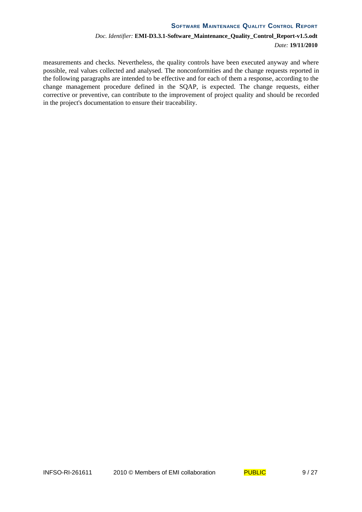measurements and checks. Nevertheless, the quality controls have been executed anyway and where possible, real values collected and analysed. The nonconformities and the change requests reported in the following paragraphs are intended to be effective and for each of them a response, according to the change management procedure defined in the SQAP, is expected. The change requests, either corrective or preventive, can contribute to the improvement of project quality and should be recorded in the project's documentation to ensure their traceability.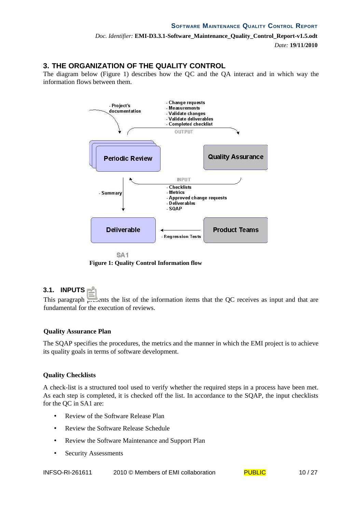# **3. THE ORGANIZATION OF THE QUALITY CONTROL**

The diagram below (Figure 1) describes how the QC and the QA interact and in which way the information flows between them.



**Figure 1: Quality Control Information flow**

## **3.1. INPUTS**

This paragraph presents the list of the information items that the QC receives as input and that are fundamental for the execution of reviews.

## **Quality Assurance Plan**

The SQAP specifies the procedures, the metrics and the manner in which the EMI project is to achieve its quality goals in terms of software development.

## **Quality Checklists**

A check-list is a structured tool used to verify whether the required steps in a process have been met. As each step is completed, it is checked off the list. In accordance to the SQAP, the input checklists for the QC in SA1 are:

- Review of the Software Release Plan
- Review the Software Release Schedule
- Review the Software Maintenance and Support Plan
- Security Assessments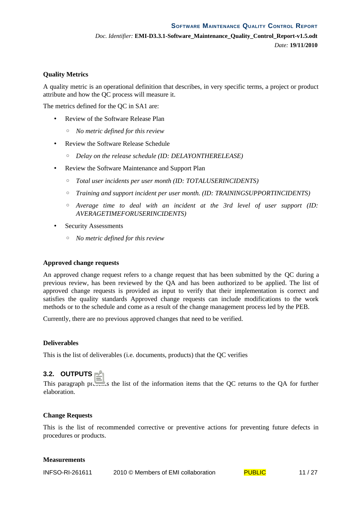#### **Quality Metrics**

A quality metric is an operational definition that describes, in very specific terms, a project or product attribute and how the QC process will measure it.

The metrics defined for the QC in SA1 are:

- Review of the Software Release Plan
	- *No metric defined for this review*
- Review the Software Release Schedule
	- *Delay on the release schedule (ID: DELAYONTHERELEASE)*
- Review the Software Maintenance and Support Plan
	- *Total user incidents per user month (ID: TOTALUSERINCIDENTS)*
	- *Training and support incident per user month. (ID: TRAININGSUPPORTINCIDENTS)*
	- *Average time to deal with an incident at the 3rd level of user support (ID: AVERAGETIMEFORUSERINCIDENTS)*
- Security Assessments
	- *No metric defined for this review*

#### **Approved change requests**

An approved change request refers to a change request that has been submitted by the QC during a previous review, has been reviewed by the QA and has been authorized to be applied. The list of approved change requests is provided as input to verify that their implementation is correct and satisfies the quality standards Approved change requests can include modifications to the work methods or to the schedule and come as a result of the change management process led by the PEB.

Currently, there are no previous approved changes that need to be verified.

#### **Deliverables**

This is the list of deliverables (i.e. documents, products) that the QC verifies

#### **3.2. OUTPUTS**

This paragraph presents the list of the information items that the QC returns to the QA for further elaboration.

#### **Change Requests**

This is the list of recommended corrective or preventive actions for preventing future defects in procedures or products.

#### **Measurements**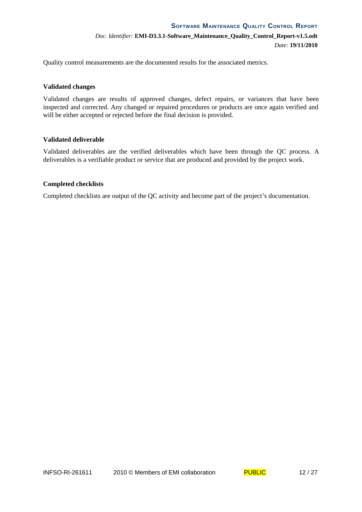Quality control measurements are the documented results for the associated metrics.

#### **Validated changes**

Validated changes are results of approved changes, defect repairs, or variances that have been inspected and corrected. Any changed or repaired procedures or products are once again verified and will be either accepted or rejected before the final decision is provided.

#### **Validated deliverable**

Validated deliverables are the verified deliverables which have been through the QC process. A deliverables is a verifiable product or service that are produced and provided by the project work.

#### **Completed checklists**

Completed checklists are output of the QC activity and become part of the project's documentation.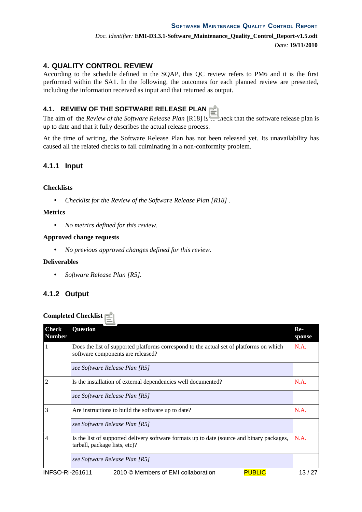# **4. QUALITY CONTROL REVIEW**

According to the schedule defined in the SQAP, this QC review refers to PM6 and it is the first performed within the SA1. In the following, the outcomes for each planned review are presented, including the information received as input and that returned as output.

# **4.1. REVIEW OF THE SOFTWARE RELEASE PLAN**

The aim of the *Review of the Software Release Plan* [R18] is to check that the software release plan is up to date and that it fully describes the actual release process.

At the time of writing, the Software Release Plan has not been released yet. Its unavailability has caused all the related checks to fail culminating in a non-conformity problem.

# **4.1.1 Input**

## **Checklists**

• *Checklist for the Review of the Software Release Plan [R18] .*

## **Metrics**

• *No metrics defined for this review.*

## **Approved change requests**

• *No previous approved changes defined for this review.*

## **Deliverables**

• *Software Release Plan [R5].*

# **4.1.2 Output**

## **Completed Checklist**

| <b>Check</b><br><b>Number</b> | <b>Question</b>                                                                                                              | $Re-$<br>sponse |
|-------------------------------|------------------------------------------------------------------------------------------------------------------------------|-----------------|
|                               | Does the list of supported platforms correspond to the actual set of platforms on which<br>software components are released? | N.A.            |
|                               | see Software Release Plan [R5]                                                                                               |                 |
| 2                             | Is the installation of external dependencies well documented?                                                                | N.A.            |
|                               | see Software Release Plan [R5]                                                                                               |                 |
| З                             | Are instructions to build the software up to date?                                                                           | N.A.            |
|                               | see Software Release Plan [R5]                                                                                               |                 |
| 4                             | Is the list of supported delivery software formats up to date (source and binary packages,<br>tarball, package lists, etc)?  | N.A.            |
|                               | see Software Release Plan [R5]                                                                                               |                 |
| INIECO DI 901011              | $D$ $D$<br>$2010 \odot M$ combarged $FML$ colleboration                                                                      |                 |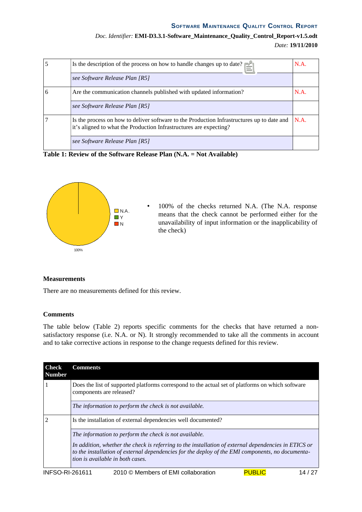| Doc. Identifier: EMI-D3.3.1-Software_Maintenance_Quality_Control_Report-v1.5.odt |  |                  |
|----------------------------------------------------------------------------------|--|------------------|
|                                                                                  |  | Date: 19/11/2010 |

| 5 | Is the description of the process on how to handle changes up to date?                                                                                           | N.A. |
|---|------------------------------------------------------------------------------------------------------------------------------------------------------------------|------|
|   | see Software Release Plan [R5]                                                                                                                                   |      |
| 6 | Are the communication channels published with updated information?                                                                                               | N.A. |
|   | see Software Release Plan [R5]                                                                                                                                   |      |
|   | Is the process on how to deliver software to the Production Infrastructures up to date and<br>it's aligned to what the Production Infrastructures are expecting? | N.A. |
|   | see Software Release Plan [R5]                                                                                                                                   |      |

**Table 1: Review of the Software Release Plan (N.A. = Not Available)**



• 100% of the checks returned N.A. (The N.A. response means that the check cannot be performed either for the unavailability of input information or the inapplicability of the check)

#### **Measurements**

There are no measurements defined for this review.

#### **Comments**

The table below (Table 2) reports specific comments for the checks that have returned a nonsatisfactory response (i.e. N.A. or N). It strongly recommended to take all the comments in account and to take corrective actions in response to the change requests defined for this review.

| Check<br>Number | <b>Comments</b>                                                                                                                                                                                                                              |
|-----------------|----------------------------------------------------------------------------------------------------------------------------------------------------------------------------------------------------------------------------------------------|
|                 | Does the list of supported platforms correspond to the actual set of platforms on which software<br>components are released?                                                                                                                 |
|                 | The information to perform the check is not available.                                                                                                                                                                                       |
|                 | Is the installation of external dependencies well documented?                                                                                                                                                                                |
|                 | The information to perform the check is not available.                                                                                                                                                                                       |
|                 | In addition, whether the check is referring to the installation of external dependencies in ETICS or<br>to the installation of external dependencies for the deploy of the EMI components, no documenta-<br>tion is available in both cases. |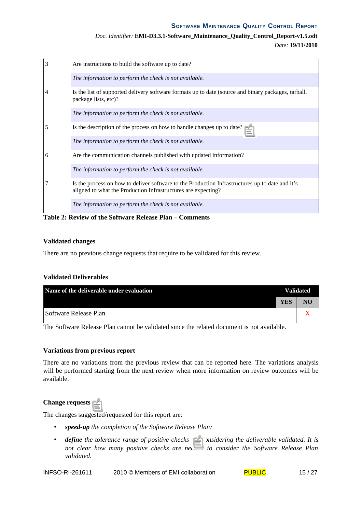# *Doc. Identifier:* **EMI-D3.3.1-Software\_Maintenance\_Quality\_Control\_Report-v1.5.odt** *Date:* **19/11/2010**

|   | Are instructions to build the software up to date?                                                                                                               |  |  |  |  |  |
|---|------------------------------------------------------------------------------------------------------------------------------------------------------------------|--|--|--|--|--|
|   | The information to perform the check is not available.                                                                                                           |  |  |  |  |  |
| 4 | Is the list of supported delivery software formats up to date (source and binary packages, tarball,<br>package lists, etc)?                                      |  |  |  |  |  |
|   | The information to perform the check is not available.                                                                                                           |  |  |  |  |  |
| 5 | Is the description of the process on how to handle changes up to date?                                                                                           |  |  |  |  |  |
|   | The information to perform the check is not available.                                                                                                           |  |  |  |  |  |
| 6 | Are the communication channels published with updated information?                                                                                               |  |  |  |  |  |
|   | The information to perform the check is not available.                                                                                                           |  |  |  |  |  |
|   | Is the process on how to deliver software to the Production Infrastructures up to date and it's<br>aligned to what the Production Infrastructures are expecting? |  |  |  |  |  |
|   | The information to perform the check is not available.                                                                                                           |  |  |  |  |  |

**Table 2: Review of the Software Release Plan – Comments**

## **Validated changes**

There are no previous change requests that require to be validated for this review.

#### **Validated Deliverables**

| Name of the deliverable under evaluation | <b>Validated</b> |    |
|------------------------------------------|------------------|----|
|                                          | <b>YES</b>       | NΟ |
| Software Release Plan                    |                  |    |

The Software Release Plan cannot be validated since the related document is not available.

#### **Variations from previous report**

There are no variations from the previous review that can be reported here. The variations analysis will be performed starting from the next review when more information on review outcomes will be available.

#### **Change requests**

The changes suggested/requested for this report are:

- *speed-up the completion of the Software Release Plan;*
- *define the tolerance range of positive checks for considering the deliverable validated. It is not clear how many positive checks are needed to consider the Software Release Plan validated.*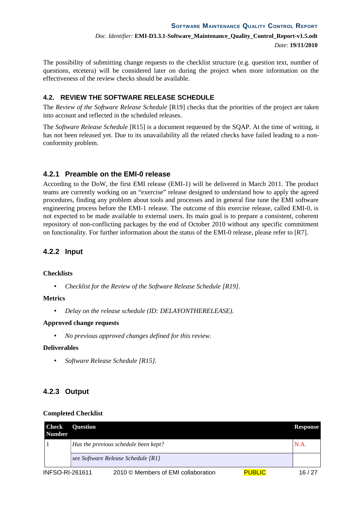The possibility of submitting change requests to the checklist structure (e.g. question text, number of questions, etcetera) will be considered later on during the project when more information on the effectiveness of the review checks should be available.

## **4.2. REVIEW THE SOFTWARE RELEASE SCHEDULE**

The *Review of the Software Release Schedule* [R19] checks that the priorities of the project are taken into account and reflected in the scheduled releases.

The *Software Release Schedule* [R15] is a document requested by the SQAP. At the time of writing, it has not been released yet. Due to its unavailability all the related checks have failed leading to a nonconformity problem.

# **4.2.1 Preamble on the EMI-0 release**

According to the DoW, the first EMI release (EMI-1) will be delivered in March 2011. The product teams are currently working on an "exercise" release designed to understand how to apply the agreed procedures, finding any problem about tools and processes and in general fine tune the EMI software engineering process before the EMI-1 release. The outcome of this exercise release, called EMI-0, is not expected to be made available to external users. Its main goal is to prepare a consistent, coherent repository of non-conflicting packages by the end of October 2010 without any specific commitment on functionality*.* For further information about the status of the EMI-0 release, please refer to [R7].

# **4.2.2 Input**

## **Checklists**

• *Checklist for the Review of the Software Release Schedule [R19].*

## **Metrics**

• *Delay on the release schedule (ID: DELAYONTHERELEASE).*

## **Approved change requests**

• *No previous approved changes defined for this review.*

## **Deliverables**

• *Software Release Schedule [R15].*

# **4.2.3 Output**

#### **Completed Checklist**

| Check<br>Number | <b>Question</b>                             |                                     |               | <b>Response</b> |  |  |  |
|-----------------|---------------------------------------------|-------------------------------------|---------------|-----------------|--|--|--|
|                 | Has the previous schedule been kept?<br>N.A |                                     |               |                 |  |  |  |
|                 |                                             | see Software Release Schedule [R1]  |               |                 |  |  |  |
| INFSO-RI-261611 |                                             | 2010 © Members of EMI collaboration | <b>PUBLIC</b> | 16 / 27         |  |  |  |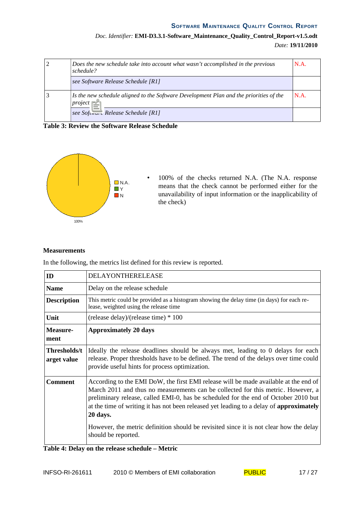# *Doc. Identifier:* **EMI-D3.3.1-Software\_Maintenance\_Quality\_Control\_Report-v1.5.odt** *Date:* **19/11/2010**

| Does the new schedule take into account what wasn't accomplished in the previous<br>schedule?      | N.A. |
|----------------------------------------------------------------------------------------------------|------|
| see Software Release Schedule [R1]                                                                 |      |
| Is the new schedule aligned to the Software Development Plan and the priorities of the<br>project? | N.A. |
| see Software Release Schedule [R1]                                                                 |      |

**Table 3: Review the Software Release Schedule**



• 100% of the checks returned N.A. (The N.A. response means that the check cannot be performed either for the unavailability of input information or the inapplicability of the check)

## **Measurements**

In the following, the metrics list defined for this review is reported.

| ID                          | <b>DELAYONTHERELEASE</b>                                                                                                                                                                                                                                                                                                                                                                                                                                                                       |
|-----------------------------|------------------------------------------------------------------------------------------------------------------------------------------------------------------------------------------------------------------------------------------------------------------------------------------------------------------------------------------------------------------------------------------------------------------------------------------------------------------------------------------------|
| <b>Name</b>                 | Delay on the release schedule                                                                                                                                                                                                                                                                                                                                                                                                                                                                  |
| <b>Description</b>          | This metric could be provided as a histogram showing the delay time (in days) for each re-<br>lease, weighted using the release time                                                                                                                                                                                                                                                                                                                                                           |
| Unit                        | (release delay)/(release time) * 100                                                                                                                                                                                                                                                                                                                                                                                                                                                           |
| Measure-<br>ment            | <b>Approximately 20 days</b>                                                                                                                                                                                                                                                                                                                                                                                                                                                                   |
| Thresholds/t<br>arget value | Ideally the release deadlines should be always met, leading to 0 delays for each<br>release. Proper thresholds have to be defined. The trend of the delays over time could<br>provide useful hints for process optimization.                                                                                                                                                                                                                                                                   |
| <b>Comment</b>              | According to the EMI DoW, the first EMI release will be made available at the end of<br>March 2011 and thus no measurements can be collected for this metric. However, a<br>preliminary release, called EMI-0, has be scheduled for the end of October 2010 but<br>at the time of writing it has not been released yet leading to a delay of <b>approximately</b><br>20 days.<br>However, the metric definition should be revisited since it is not clear how the delay<br>should be reported. |

**Table 4: Delay on the release schedule – Metric**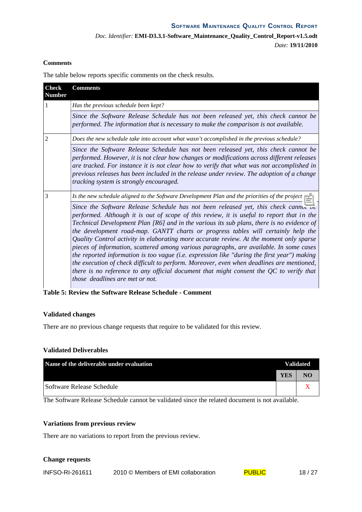## **Comments**

The table below reports specific comments on the check results.

| <b>Check</b><br><b>Number</b> | <b>Comments</b>                                                                                                                                                                                                                                                                                                                                                                                                                                                                                                                                                                                                                                                                                                                                                                                                                                                                             |  |  |  |  |  |  |
|-------------------------------|---------------------------------------------------------------------------------------------------------------------------------------------------------------------------------------------------------------------------------------------------------------------------------------------------------------------------------------------------------------------------------------------------------------------------------------------------------------------------------------------------------------------------------------------------------------------------------------------------------------------------------------------------------------------------------------------------------------------------------------------------------------------------------------------------------------------------------------------------------------------------------------------|--|--|--|--|--|--|
| 1                             | Has the previous schedule been kept?                                                                                                                                                                                                                                                                                                                                                                                                                                                                                                                                                                                                                                                                                                                                                                                                                                                        |  |  |  |  |  |  |
|                               | Since the Software Release Schedule has not been released yet, this check cannot be<br>performed. The information that is necessary to make the comparison is not available.                                                                                                                                                                                                                                                                                                                                                                                                                                                                                                                                                                                                                                                                                                                |  |  |  |  |  |  |
| 2                             | Does the new schedule take into account what wasn't accomplished in the previous schedule?                                                                                                                                                                                                                                                                                                                                                                                                                                                                                                                                                                                                                                                                                                                                                                                                  |  |  |  |  |  |  |
|                               | Since the Software Release Schedule has not been released yet, this check cannot be<br>performed. However, it is not clear how changes or modifications across different releases<br>are tracked. For instance it is not clear how to verify that what was not accomplished in<br>previous releases has been included in the release under review. The adoption of a change<br>tracking system is strongly encouraged.                                                                                                                                                                                                                                                                                                                                                                                                                                                                      |  |  |  |  |  |  |
| 3                             | Is the new schedule aligned to the Software Development Plan and the priorities of the project?                                                                                                                                                                                                                                                                                                                                                                                                                                                                                                                                                                                                                                                                                                                                                                                             |  |  |  |  |  |  |
|                               | Since the Software Release Schedule has not been released yet, this check cannot be<br>performed. Although it is out of scope of this review, it is useful to report that in the<br>Technical Development Plan [R6] and in the various its sub plans, there is no evidence of<br>the development road-map. GANTT charts or progress tables will certainly help the<br>Quality Control activity in elaborating more accurate review. At the moment only sparse<br>pieces of information, scattered among various paragraphs, are available. In some cases<br>the reported information is too vague (i.e. expression like "during the first year") making<br>the execution of check difficult to perform. Moreover, even when deadlines are mentioned,<br>there is no reference to any official document that might consent the $QC$ to verify that<br><i>those deadlines are met or not.</i> |  |  |  |  |  |  |

**Table 5: Review the Software Release Schedule - Comment**

#### **Validated changes**

There are no previous change requests that require to be validated for this review.

### **Validated Deliverables**

| Name of the deliverable under evaluation | <b>Validated</b> |    |
|------------------------------------------|------------------|----|
|                                          | <b>YES</b>       | NO |
| Software Release Schedule                |                  |    |

The Software Release Schedule cannot be validated since the related document is not available.

#### **Variations from previous review**

There are no variations to report from the previous review.

#### **Change requests**

INFSO-RI-261611 2010 © Members of EMI collaboration PUBLIC 18 / 27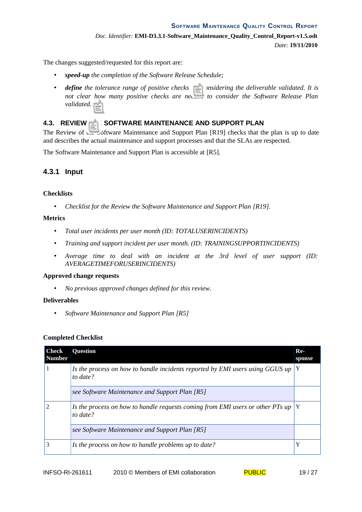The changes suggested/requested for this report are:

- *speed-up the completion of the Software Release Schedule;*
- *define* the tolerance range of positive checks for considering the deliverable validated. It is *not clear how many positive checks are needed to consider the Software Release Plan validated.*

## **4.3. REVIEW THE SOFTWARE MAINTENANCE AND SUPPORT PLAN**

The Review of the Software Maintenance and Support Plan [R19] checks that the plan is up to date and describes the actual maintenance and support processes and that the SLAs are respected.

The Software Maintenance and Support Plan is accessible at [R5].

## **4.3.1 Input**

#### **Checklists**

• *Checklist for the Review the Software Maintenance and Support Plan [R19].*

#### **Metrics**

- *Total user incidents per user month (ID: TOTALUSERINCIDENTS)*
- *Training and support incident per user month. (ID: TRAININGSUPPORTINCIDENTS)*
- *Average time to deal with an incident at the 3rd level of user support (ID: AVERAGETIMEFORUSERINCIDENTS)*

#### **Approved change requests**

• *No previous approved changes defined for this review.*

#### **Deliverables**

• *Software Maintenance and Support Plan [R5]*

#### **Completed Checklist**

| <b>Check</b><br><b>Number</b> | <b>Question</b>                                                                            | $Re-$<br>sponse |
|-------------------------------|--------------------------------------------------------------------------------------------|-----------------|
|                               | Is the process on how to handle incidents reported by EMI users using GGUS up<br>to date?  |                 |
|                               | see Software Maintenance and Support Plan [R5]                                             |                 |
|                               | Is the process on how to handle requests coming from EMI users or other PTs up<br>to date? |                 |
|                               | see Software Maintenance and Support Plan [R5]                                             |                 |
|                               | Is the process on how to handle problems up to date?                                       | Y               |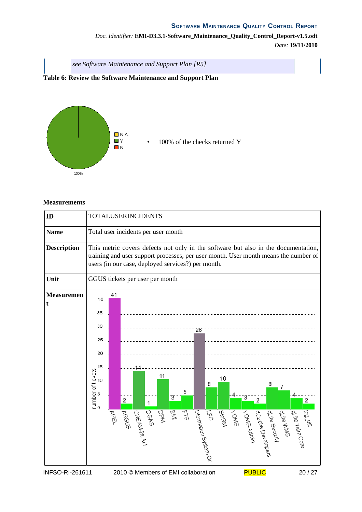# *Doc. Identifier:* **EMI-D3.3.1-Software\_Maintenance\_Quality\_Control\_Report-v1.5.odt** *Date:* **19/11/2010**

| see Software Maintenance and Support Plan [R5] |  |
|------------------------------------------------|--|
|                                                |  |

# **Table 6: Review the Software Maintenance and Support Plan**



#### **Measurements**

| ID                     | <b>TOTALUSERINCIDENTS</b>         |                                                                                                                                                                                                                                 |                                     |                                 |          |    |                                             |              |                            |                                     |   |                                                                         |         |
|------------------------|-----------------------------------|---------------------------------------------------------------------------------------------------------------------------------------------------------------------------------------------------------------------------------|-------------------------------------|---------------------------------|----------|----|---------------------------------------------|--------------|----------------------------|-------------------------------------|---|-------------------------------------------------------------------------|---------|
| <b>Name</b>            |                                   | Total user incidents per user month                                                                                                                                                                                             |                                     |                                 |          |    |                                             |              |                            |                                     |   |                                                                         |         |
| <b>Description</b>     |                                   | This metric covers defects not only in the software but also in the documentation,<br>training and user support processes, per user month. User month means the number of<br>users (in our case, deployed services?) per month. |                                     |                                 |          |    |                                             |              |                            |                                     |   |                                                                         |         |
| Unit                   |                                   |                                                                                                                                                                                                                                 |                                     | GGUS tickets per user per month |          |    |                                             |              |                            |                                     |   |                                                                         |         |
| <b>Measuremen</b><br>t | 40                                | 41                                                                                                                                                                                                                              |                                     |                                 |          |    |                                             |              |                            |                                     |   |                                                                         |         |
|                        | 35                                |                                                                                                                                                                                                                                 |                                     |                                 |          |    |                                             |              |                            |                                     |   |                                                                         |         |
|                        | 30                                |                                                                                                                                                                                                                                 |                                     |                                 |          | 28 |                                             |              |                            |                                     |   |                                                                         |         |
|                        | 25                                |                                                                                                                                                                                                                                 |                                     |                                 |          |    |                                             |              |                            |                                     |   |                                                                         |         |
|                        | 20                                |                                                                                                                                                                                                                                 |                                     |                                 |          |    |                                             |              |                            |                                     |   |                                                                         |         |
|                        | 15                                |                                                                                                                                                                                                                                 |                                     |                                 |          |    |                                             |              |                            |                                     |   |                                                                         |         |
|                        | 10                                |                                                                                                                                                                                                                                 |                                     | 11                              |          |    | 8                                           | 10           |                            | 8                                   | 7 |                                                                         |         |
|                        | number of tickets<br>⇔          ∞ |                                                                                                                                                                                                                                 | 2                                   | 1                               | 5<br>З   |    |                                             |              | 3                          | 2                                   |   |                                                                         | 2       |
|                        |                                   | <b>APEL</b>                                                                                                                                                                                                                     | <b>DGAS</b><br>CREAMBLAT<br>RROUS   | PPM                             | 笠<br>517 |    | Information SystemIck<br>$F_{\overline{D}}$ | <b>StoRM</b> | SWON,<br><b>VOMS-Admin</b> | glite Security<br>Execte Developers |   | Lice utili<br>guite Yaim Co <sup>re</sup><br>Lice Vaim Co <sup>re</sup> |         |
| INFSO-RI-261611        |                                   |                                                                                                                                                                                                                                 | 2010 © Members of EMI collaboration |                                 |          |    |                                             |              |                            | <b>PUBLIC</b>                       |   |                                                                         | 20 / 27 |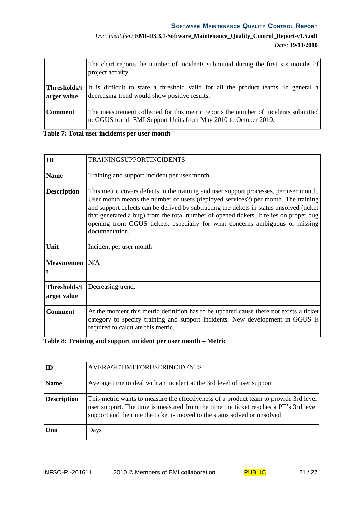# *Doc. Identifier:* **EMI-D3.3.1-Software\_Maintenance\_Quality\_Control\_Report-v1.5.odt** *Date:* **19/11/2010**

|                             | The chart reports the number of incidents submitted during the first six months of<br>project activity.                                                 |
|-----------------------------|---------------------------------------------------------------------------------------------------------------------------------------------------------|
| Thresholds/t<br>arget value | It is difficult to state a threshold valid for all the product teams, in general a<br>decreasing trend would show positive results.                     |
| <b>Comment</b>              | The measurement collected for this metric reports the number of incidents submitted<br>to GGUS for all EMI Support Units from May 2010 to October 2010. |

## **Table 7: Total user incidents per user month**

| ID                          | <b>TRAININGSUPPORTINCIDENTS</b>                                                                                                                                                                                                                                                                                                                                                                                                                                     |
|-----------------------------|---------------------------------------------------------------------------------------------------------------------------------------------------------------------------------------------------------------------------------------------------------------------------------------------------------------------------------------------------------------------------------------------------------------------------------------------------------------------|
| <b>Name</b>                 | Training and support incident per user month.                                                                                                                                                                                                                                                                                                                                                                                                                       |
| <b>Description</b>          | This metric covers defects in the training and user support processes, per user month.<br>User month means the number of users (deployed services?) per month. The training<br>and support defects can be derived by subtracting the tickets in status unsolved (ticket<br>that generated a bug) from the total number of opened tickets. It relies on proper bug<br>opening from GGUS tickets, especially for what concerns ambiguous or missing<br>documentation. |
| Unit                        | Incident per user month                                                                                                                                                                                                                                                                                                                                                                                                                                             |
| <b>Measuremen</b>           | N/A                                                                                                                                                                                                                                                                                                                                                                                                                                                                 |
| Thresholds/t<br>arget value | Decreasing trend.                                                                                                                                                                                                                                                                                                                                                                                                                                                   |
| <b>Comment</b>              | At the moment this metric definition has to be updated cause there not exists a ticket<br>category to specify training and support incidents. New development in GGUS is<br>required to calculate this metric.                                                                                                                                                                                                                                                      |

# **Table 8: Training and support incident per user month – Metric**

|                    | AVERAGETIMEFORUSERINCIDENTS                                                                                                                                                                                                                                |
|--------------------|------------------------------------------------------------------------------------------------------------------------------------------------------------------------------------------------------------------------------------------------------------|
| <b>Name</b>        | Average time to deal with an incident at the 3rd level of user support                                                                                                                                                                                     |
| <b>Description</b> | This metric wants to measure the effectiveness of a product team to provide 3rd level<br>user support. The time is measured from the time the ticket reaches a PT's 3rd level<br>support and the time the ticket is moved to the status solved or unsolved |
| Unit               | Days                                                                                                                                                                                                                                                       |

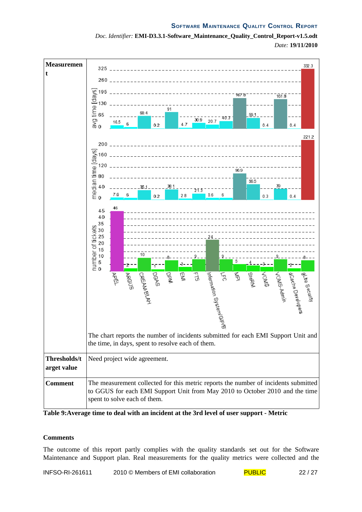

*Doc. Identifier:* **EMI-D3.3.1-Software\_Maintenance\_Quality\_Control\_Report-v1.5.odt** *Date:* **19/11/2010**

**Table 9:Average time to deal with an incident at the 3rd level of user support - Metric**

## **Comments**

The outcome of this report partly complies with the quality standards set out for the Software Maintenance and Support plan. Real measurements for the quality metrics were collected and the

INFSO-RI-261611 2010 © Members of EMI collaboration PUBLIC 22 / 27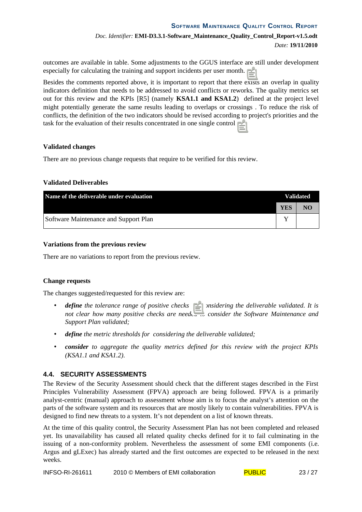outcomes are available in table. Some adjustments to the GGUS interface are still under development especially for calculating the training and support incidents per user month..

Besides the comments reported above, it is important to report that there exists an overlap in quality indicators definition that needs to be addressed to avoid conflicts or reworks. The quality metrics set out for this review and the KPIs [R5] (namely **KSA1.1 and KSA1.2**) defined at the project level might potentially generate the same results leading to overlaps or crossings . To reduce the risk of conflicts, the definition of the two indicators should be revised according to project's priorities and the task for the evaluation of their results concentrated in one single control.

## **Validated changes**

There are no previous change requests that require to be verified for this review.

## **Validated Deliverables**

| Name of the deliverable under evaluation |     | <b>Validated</b> |  |
|------------------------------------------|-----|------------------|--|
|                                          | YES | NO               |  |
| Software Maintenance and Support Plan    |     |                  |  |

## **Variations from the previous review**

There are no variations to report from the previous review.

#### **Change requests**

The changes suggested/requested for this review are:

- *define* the tolerance range of positive checks for considering the deliverable validated. It is *not clear how many positive checks are needed to consider the Software Maintenance and Support Plan validated;*
- *define the metric thresholds for considering the deliverable validated;*
- *consider to aggregate the quality metrics defined for this review with the project KPIs (KSA1.1 and KSA1.2).*

## **4.4. SECURITY ASSESSMENTS**

The Review of the Security Assessment should check that the different stages described in the First Principles Vulnerability Assessment (FPVA) approach are being followed. FPVA is a primarily analyst-centric (manual) approach to assessment whose aim is to focus the analyst's attention on the parts of the software system and its resources that are mostly likely to contain vulnerabilities. FPVA is designed to find new threats to a system. It's not dependent on a list of known threats.

At the time of this quality control, the Security Assessment Plan has not been completed and released yet. Its unavailability has caused all related quality checks defined for it to fail culminating in the issuing of a non-conformity problem. Nevertheless the assessment of some EMI components (i.e. Argus and gLExec) has already started and the first outcomes are expected to be released in the next weeks.

| INFSO-RI-261611 | 2010 © Members of EMI collaboration | <b>PUBLIC</b> | 23/27 |
|-----------------|-------------------------------------|---------------|-------|
|-----------------|-------------------------------------|---------------|-------|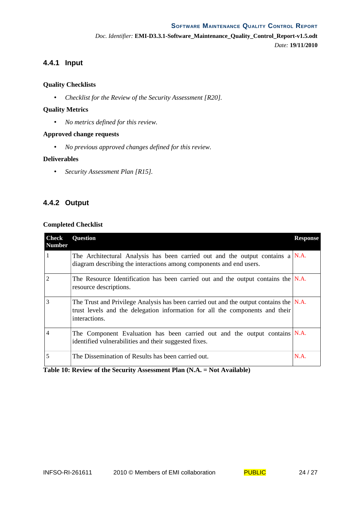*Doc. Identifier:* **EMI-D3.3.1-Software\_Maintenance\_Quality\_Control\_Report-v1.5.odt** *Date:* **19/11/2010**

# **4.4.1 Input**

## **Quality Checklists**

• *Checklist for the Review of the Security Assessment [R20].*

## **Quality Metrics**

• *No metrics defined for this review.*

## **Approved change requests**

• *No previous approved changes defined for this review.*

#### **Deliverables**

• *Security Assessment Plan [R15].*

# **4.4.2 Output**

## **Completed Checklist**

| <b>Check</b><br><b>Number</b> | <b>Question</b>                                                                                                                                                                            | <b>Response</b> |
|-------------------------------|--------------------------------------------------------------------------------------------------------------------------------------------------------------------------------------------|-----------------|
| 1                             | The Architectural Analysis has been carried out and the output contains a $N.A$ .<br>diagram describing the interactions among components and end users.                                   |                 |
| $\overline{2}$                | The Resource Identification has been carried out and the output contains the $N.A$ .<br>resource descriptions.                                                                             |                 |
| 3                             | The Trust and Privilege Analysis has been carried out and the output contains the $ N.A.$<br>trust levels and the delegation information for all the components and their<br>interactions. |                 |
| 4                             | The Component Evaluation has been carried out and the output contains N.A.<br>identified vulnerabilities and their suggested fixes.                                                        |                 |
| 5                             | The Dissemination of Results has been carried out.                                                                                                                                         | N.A.            |

**Table 10: Review of the Security Assessment Plan (N.A. = Not Available)**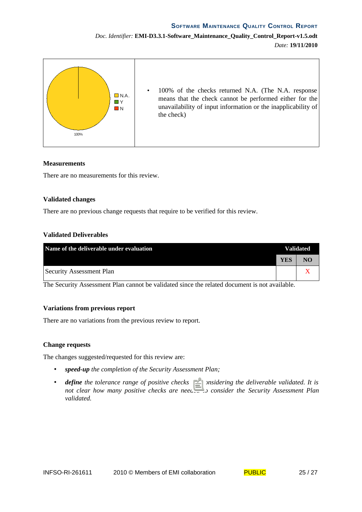# *Doc. Identifier:* **EMI-D3.3.1-Software\_Maintenance\_Quality\_Control\_Report-v1.5.odt** *Date:* **19/11/2010**



#### **Measurements**

There are no measurements for this review.

#### **Validated changes**

There are no previous change requests that require to be verified for this review.

#### **Validated Deliverables**

| Name of the deliverable under evaluation |            | <b>Validated</b> |  |
|------------------------------------------|------------|------------------|--|
|                                          | <b>YES</b> | NO               |  |
| Security Assessment Plan                 |            |                  |  |

The Security Assessment Plan cannot be validated since the related document is not available.

#### **Variations from previous report**

There are no variations from the previous review to report.

#### **Change requests**

The changes suggested/requested for this review are:

- *speed-up the completion of the Security Assessment Plan;*
- *define the tolerance range of positive checks for considering the deliverable validated. It is not clear how many positive checks are needed to consider the Security Assessment Plan validated.*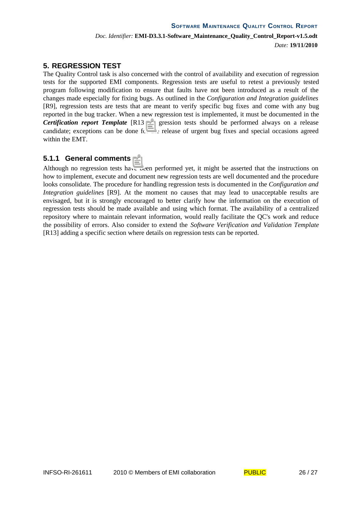# **5. REGRESSION TEST**

The Quality Control task is also concerned with the control of availability and execution of regression tests for the supported EMI components. Regression tests are useful to retest a previously tested program following modification to ensure that faults have not been introduced as a result of the changes made especially for fixing bugs. As outlined in the *Configuration and Integration guidelines* [R9], regression tests are tests that are meant to verify specific bug fixes and come with any bug reported in the bug tracker. When a new regression test is implemented, it must be documented in the *Certification report Template* [R13]. Regression tests should be performed always on a release candidate; exceptions can be done for the release of urgent bug fixes and special occasions agreed within the EMT.

# **5.1.1 General comments**

Although no regression tests have been performed yet, it might be asserted that the instructions on how to implement, execute and document new regression tests are well documented and the procedure looks consolidate. The procedure for handling regression tests is documented in the *Configuration and Integration guidelines* [R9]. At the moment no causes that may lead to unacceptable results are envisaged, but it is strongly encouraged to better clarify how the information on the execution of regression tests should be made available and using which format. The availability of a centralized repository where to maintain relevant information, would really facilitate the QC's work and reduce the possibility of errors. Also consider to extend the *Software Verification and Validation Template* [R13] adding a specific section where details on regression tests can be reported.